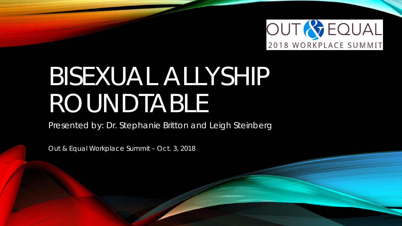

# BISEXUAL ALLYSHIP ROUNDTABLE

Presented by: Dr. Stephanie Britton and Leigh Steinberg

Out & Equal Workplace Summit – Oct. 3, 2018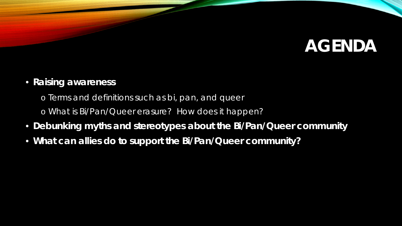# **AGENDA**

#### • **Raising awareness**

- o Terms and definitions such as bi, pan, and queer
- o What is Bi/Pan/Queer erasure? How does it happen?
- **Debunking myths and stereotypes about the Bi/Pan/Queer community**
- **What can allies do to support the Bi/Pan/Queer community?**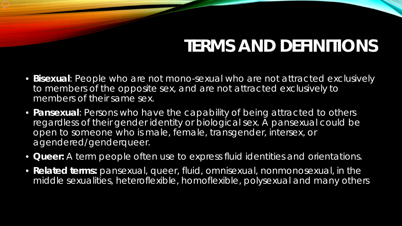# **TERMS AND DEFINITIONS**

- *Bisexual:* People who are not mono-sexual who are *not* attracted exclusively to members of the opposite sex, and are *not* attracted exclusively to members of their same sex.
- **Pansexual**: Persons who have the capability of being attracted to others regardless of their gender identity or biological sex. A pansexual could be open to someone who is male, female, transgender, intersex, or agendered/genderqueer.
- *Queer:* A term people often use to express fluid identities and orientations.
- *Related terms:* pansexual, queer, fluid, omnisexual, nonmonosexual, in the middle sexualities, heteroflexible, homoflexible, polysexual and many others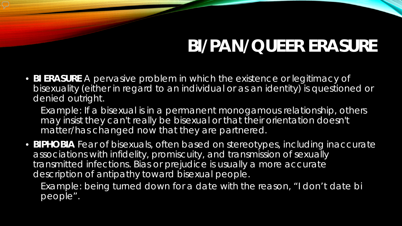# **BI/PAN/QUEER ERASURE**

• **BI ERASURE** A pervasive problem in which the existence or legitimacy of bisexuality (either in regard to an individual or as an identity) is questioned or denied outright.

*Example: If a bisexual is in a permanent monogamous relationship, others* may insist they can't really be bisexual or that their orientation doesn't *matter/has changed now that they are partnered.* 

• **BIPHOBIA** Fear of bisexuals, often based on stereotypes, including inaccurate associations with infidelity, promiscuity, and transmission of sexually transmitted infections. *Bias* or *prejudice* is usually a more accurate description of antipathy toward bisexual people.

*Example: being turned down for a date with the reason, "I don't date bi people".*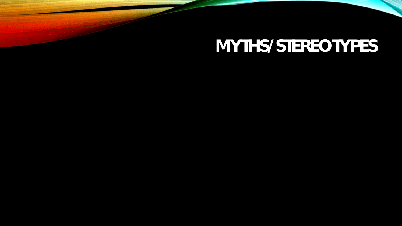# **MYTHS/STEREOTYPES**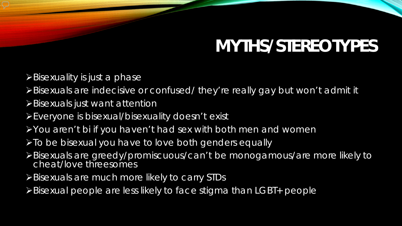# **MYTHS/STEREOTYPES**

- $\triangleright$  Bisexuality is just a phase
- Bisexuals are indecisive or confused/ they're really gay but won't admit it
- **>Bisexuals just want attention**
- Everyone is bisexual/bisexuality doesn't exist
- You aren't bi if you haven't had sex with both men and women
- > To be bisexual you have to love both genders equally
- Bisexuals are greedy/promiscuous/can't be monogamous/are more likely to cheat/love threesomes
- Bisexuals are much more likely to carry STDs
- Bisexual people are less likely to face stigma than LGBT+ people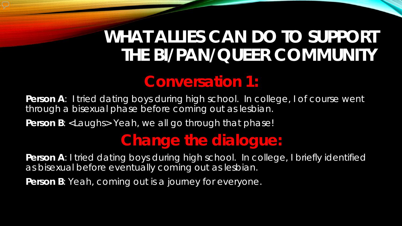## **WHAT ALLIES CAN DO TO SUPPORT THE BI/PAN/QUEER COMMUNITY**

#### **Conversation 1:**

Person A: I tried dating boys during high school. In college, I of course went through a bisexual phase before coming out as lesbian.

Person B: <Laughs> Yeah, we all go through that phase!

#### **Change the dialogue:**

**Person A:** I tried dating boys during high school. In college, I briefly identified as bisexual before eventually coming out as lesbian.

Person B: Yeah, coming out is a journey for everyone.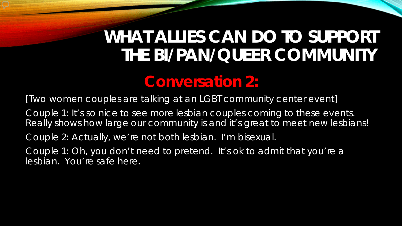## **WHAT ALLIES CAN DO TO SUPPORT THE BI/PAN/QUEER COMMUNITY**

#### **Conversation 2:**

[Two women couples are talking at an LGBT community center event]

Couple 1: It's so nice to see more lesbian couples coming to these events. Really shows how large our community is and it's great to meet new lesbians!

Couple 2: Actually, we're not both lesbian. I'm bisexual.

Couple 1: Oh, you don't need to pretend. It's ok to admit that you're a lesbian. You're safe here.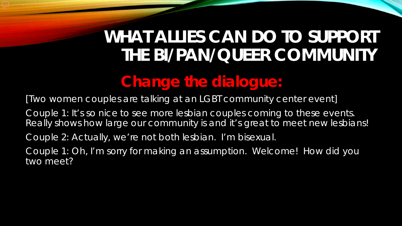# **WHAT ALLIES CAN DO TO SUPPORT THE BI/PAN/QUEER COMMUNITY**

### **Change the dialogue:**

[Two women couples are talking at an LGBT community center event]

Couple 1: It's so nice to see more lesbian couples coming to these events. Really shows how large our community is and it's great to meet new lesbians!

Couple 2: Actually, we're not both lesbian. I'm bisexual.

Couple 1: Oh, I'm sorry for making an assumption. Welcome! How did you two meet?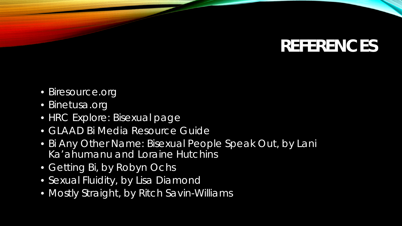# **REFERENCES**

- *Biresource.org*
- *Binetusa.org*
- *HRC Explore: Bisexual page*
- *GLAAD Bi Media Resource Guide*
- *Bi Any Other Name: Bisexual People Speak Out, by Lani Ka'ahumanu and Loraine Hutchins*
- *Getting Bi, by Robyn Ochs*
- *Sexual Fluidity, by Lisa Diamond*
- *Mostly Straight, by Ritch Savin-Williams*